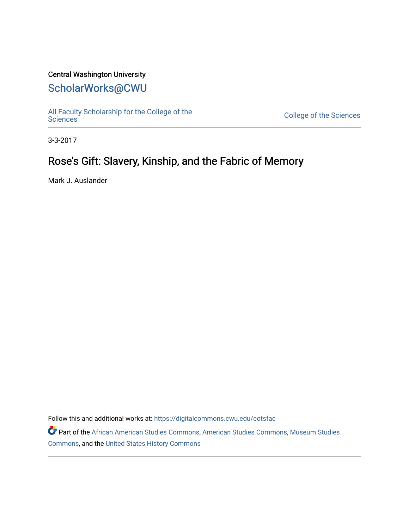### Central Washington University

### [ScholarWorks@CWU](https://digitalcommons.cwu.edu/)

[All Faculty Scholarship for the College of the](https://digitalcommons.cwu.edu/cotsfac) 

College of the [Sciences](https://digitalcommons.cwu.edu/cotsfac)

3-3-2017

## Rose's Gift: Slavery, Kinship, and the Fabric of Memory

Mark J. Auslander

Follow this and additional works at: [https://digitalcommons.cwu.edu/cotsfac](https://digitalcommons.cwu.edu/cotsfac?utm_source=digitalcommons.cwu.edu%2Fcotsfac%2F800&utm_medium=PDF&utm_campaign=PDFCoverPages) 

Part of the [African American Studies Commons,](http://network.bepress.com/hgg/discipline/567?utm_source=digitalcommons.cwu.edu%2Fcotsfac%2F800&utm_medium=PDF&utm_campaign=PDFCoverPages) [American Studies Commons,](http://network.bepress.com/hgg/discipline/439?utm_source=digitalcommons.cwu.edu%2Fcotsfac%2F800&utm_medium=PDF&utm_campaign=PDFCoverPages) [Museum Studies](http://network.bepress.com/hgg/discipline/1366?utm_source=digitalcommons.cwu.edu%2Fcotsfac%2F800&utm_medium=PDF&utm_campaign=PDFCoverPages)  [Commons](http://network.bepress.com/hgg/discipline/1366?utm_source=digitalcommons.cwu.edu%2Fcotsfac%2F800&utm_medium=PDF&utm_campaign=PDFCoverPages), and the [United States History Commons](http://network.bepress.com/hgg/discipline/495?utm_source=digitalcommons.cwu.edu%2Fcotsfac%2F800&utm_medium=PDF&utm_campaign=PDFCoverPages)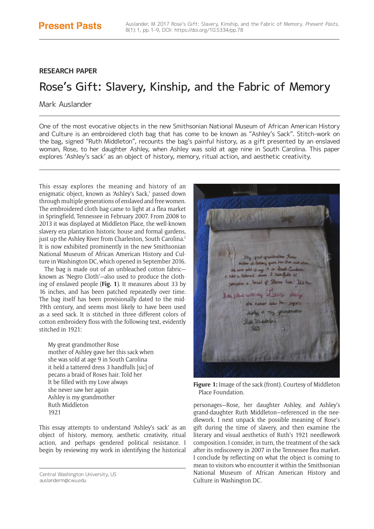### **RESEARCH PAPER**

# Rose's Gift: Slavery, Kinship, and the Fabric of Memory

#### Mark Auslander

One of the most evocative objects in the new Smithsonian National Museum of African American History and Culture is an embroidered cloth bag that has come to be known as "Ashley's Sack". Stitch-work on the bag, signed "Ruth Middleton", recounts the bag's painful history, as a gift presented by an enslaved woman, Rose, to her daughter Ashley, when Ashley was sold at age nine in South Carolina. This paper explores 'Ashley's sack' as an object of history, memory, ritual action, and aesthetic creativity.

This essay explores the meaning and history of an enigmatic object, known as 'Ashley's Sack,' passed down through multiple generations of enslaved and free women. The embroidered cloth bag came to light at a flea market in Springfield, Tennessee in February 2007. From 2008 to 2013 it was displayed at Middleton Place, the well-known slavery era plantation historic house and formal gardens, just up the Ashley River from Charleston, South Carolina.<sup>1</sup> It is now exhibited prominently in the new Smithsonian National Museum of African American History and Culture in Washington DC, which opened in September 2016.

The bag is made out of an unbleached cotton fabric known as 'Negro Cloth'—also used to produce the clothing of enslaved people (**Fig. 1**). It measures about 33 by 16 inches, and has been patched repeatedly over time. The bag itself has been provisionally dated to the mid-19th century, and seems most likely to have been used as a seed sack. It is stitched in three different colors of cotton embroidery floss with the following text, evidently stitched in 1921:

My great grandmother Rose mother of Ashley gave her this sack when she was sold at age 9 in South Carolina it held a tattered dress 3 handfulls [sic] of pecans a braid of Roses hair. Told her It be filled with my Love always she never saw her again Ashley is my grandmother Ruth Middleton 1921

This essay attempts to understand 'Ashley's sack' as an object of history, memory, aesthetic creativity, ritual action, and perhaps gendered political resistance. I begin by reviewing my work in identifying the historical



**Figure 1:** Image of the sack (front). Courtesy of Middleton Place Foundation.

personages—Rose, her daughter Ashley, and Ashley's grand-daughter Ruth Middleton—referenced in the needlework. I next unpack the possible meaning of Rose's gift during the time of slavery, and then examine the literary and visual aesthetics of Ruth's 1921 needlework composition. I consider, in turn, the treatment of the sack after its rediscovery in 2007 in the Tennessee flea market. I conclude by reflecting on what the object is coming to mean to visitors who encounter it within the Smithsonian National Museum of African American History and Culture in Washington DC.

Central Washington University, US [auslanderm@cwu.edu](mailto:auslanderm@cwu.edu)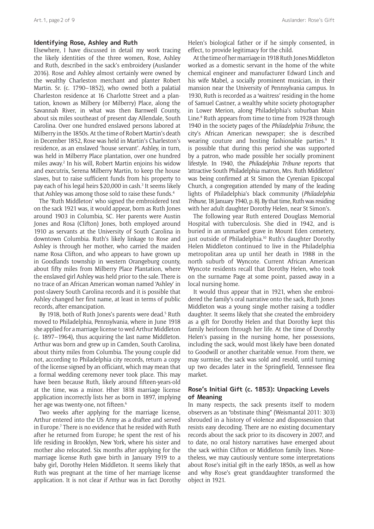#### **Identifying Rose, Ashley and Ruth**

Elsewhere, I have discussed in detail my work tracing the likely identities of the three women, Rose, Ashley and Ruth, described in the sack's embroidery (Auslander 2016). Rose and Ashley almost certainly were owned by the wealthy Charleston merchant and planter Robert Martin. Sr. (c. 1790–1852), who owned both a palatial Charleston residence at 16 Charlotte Street and a plantation, known as Milbery (or Milberry) Place, along the Savannah River, in what was then Barnwell County, about six miles southeast of present day Allendale, South Carolina. Over one hundred enslaved persons labored at Milberry in the 1850s. At the time of Robert Martin's death in December 1852, Rose was held in Martin's Charleston's residence, as an enslaved 'house servant'. Ashley, in turn, was held in Milberry Place plantation, over one hundred miles away.2 In his will, Robert Martin enjoins his widow and executrix, Serena Milberry Martin, to keep the house slaves, but to raise sufficient funds from his property to pay each of his legal heirs \$20,000 in cash.3 It seems likely that Ashley was among those sold to raise these funds.<sup>4</sup>

The 'Ruth Middleton' who signed the embroidered text on the sack 1921 was, it would appear, born as Ruth Jones around 1903 in Columbia, SC. Her parents were Austin Jones and Rosa (Clifton) Jones, both employed around 1910 as servants at the University of South Carolina in downtown Columbia. Ruth's likely linkage to Rose and Ashley is through her mother, who carried the maiden name Rosa Clifton, and who appears to have grown up in Goodlands township in western Orangeburg county, about fifty miles from Milberry Place Plantation, where the enslaved girl Ashley was held prior to the sale. There is no trace of an African American woman named 'Ashley' in post-slavery South Carolina records and it is possible that Ashley changed her first name, at least in terms of public records, after emancipation.

By 1918, both of Ruth Jones's parents were dead.<sup>5</sup> Ruth moved to Philadelphia, Pennsylvania, where in June 1918 she applied for a marriage license to wed Arthur Middleton (c. 1897–1964), thus acquiring the last name Middleton. Arthur was born and grew up in Camden, South Carolina, about thirty miles from Columbia. The young couple did not, according to Philadelphia city records, return a copy of the license signed by an officiant, which may mean that a formal wedding ceremony never took place. This may have been because Ruth, likely around fifteen-years-old at the time, was a minor. Hher 1818 marriage license application incorrectly lists her as born in 1897, implying her age was twenty-one, not fifteen.<sup>6</sup>

Two weeks after applying for the marriage license, Arthur entered into the US Army as a draftee and served in Europe.7 There is no evidence that he resided with Ruth after he returned from Europe; he spent the rest of his life residing in Brooklyn, New York, where his sister and mother also relocated. Six months after applying for the marriage license Ruth gave birth in January 1919 to a baby girl, Dorothy Helen Middleton. It seems likely that Ruth was pregnant at the time of her marriage license application. It is not clear if Arthur was in fact Dorothy

Helen's biological father or if he simply consented, in effect, to provide legitimacy for the child.

At the time of her marriage in 1918 Ruth Jones Middleton worked as a domestic servant in the home of the white chemical engineer and manufacturer Edward Linch and his wife Mabel, a socially prominent musician, in their mansion near the University of Pennsylvania campus. In 1930, Ruth is recorded as a 'waitress' residing in the home of Samuel Castner, a wealthy white society photographer in Lower Merion, along Philadelphia's suburban Main Line.<sup>8</sup> Ruth appears from time to time from 1928 through 1940 in the society pages of the *Philadelphia Tribune,* the city's African American newspaper; she is described wearing couture and hosting fashionable parties.<sup>9</sup> It is possible that during this period she was supported by a patron, who made possible her socially prominent lifestyle. In 1940, the *Philadelphia Tribune* reports that 'attractive South Philadelphia matron, Mrs. Ruth Middleton' was being confirmed at St Simon the Cyrenian Episcopal Church, a congregation attended by many of the leading lights of Philadelphia's black community (*Philadelphia Tribune*, 18 January 1940, p. 8). By that time, Ruth was residing with her adult daughter Dorothy Helen, near St Simon's.

The following year Ruth entered Douglass Memorial Hospital with tuberculosis. She died in 1942, and is buried in an unmarked grave in Mount Eden cemetery, just outside of Philadelphia.<sup>10</sup> Ruth's daughter Dorothy Helen Middleton continued to live in the Philadelphia metropolitan area up until her death in 1988 in the north suburb of Wyncote. Current African American Wyncote residents recall that Dorothy Helen, who took on the surname Page at some point, passed away in a local nursing home.

It would thus appear that in 1921, when she embroidered the family's oral narrative onto the sack, Ruth Jones Middleton was a young single mother raising a toddler daughter. It seems likely that she created the embroidery as a gift for Dorothy Helen and that Dorothy kept this family heirloom through her life. At the time of Dorothy Helen's passing in the nursing home, her possessions, including the sack, would most likely have been donated to Goodwill or another charitable venue. From there, we may surmise, the sack was sold and resold, until turning up two decades later in the Springfield, Tennessee flea market.

#### **Rose's Initial Gift (c. 1853): Unpacking Levels of Meaning**

In many respects, the sack presents itself to modern observers as an "obstinate thing" (Weismantal 2011: 303) shrouded in a history of violence and dispossession that resists easy decoding. There are no existing documentary records about the sack prior to its discovery in 2007, and to date, no oral history narratives have emerged about the sack within Clifton or Middleton family lines. Nonetheless, we may cautiously venture some interpretations about Rose's initial gift in the early 1850s, as well as how and why Rose's great granddaughter transformed the object in 1921.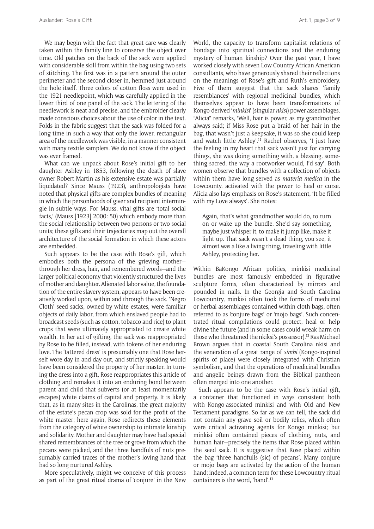We may begin with the fact that great care was clearly taken within the family line to conserve the object over time. Old patches on the back of the sack were applied with considerable skill from within the bag using two sets of stitching. The first was in a pattern around the outer perimeter and the second closer in, hemmed just around the hole itself. Three colors of cotton floss were used in the 1921 needlepoint, which was carefully applied in the lower third of one panel of the sack. The lettering of the needlework is neat and precise, and the embroider clearly made conscious choices about the use of color in the text. Folds in the fabric suggest that the sack was folded for a long time in such a way that only the lower, rectangular area of the needlework was visible, in a manner consistent with many textile samplers. We do not know if the object was ever framed.

What can we unpack about Rose's initial gift to her daughter Ashley in 1853, following the death of slave owner Robert Martin as his extensive estate was partially liquidated? Since Mauss (1923), anthropologists have noted that physical gifts are complex bundles of meaning in which the personhoods of giver and recipient intermingle in subtle ways. For Mauss, vital gifts are 'total social facts,' (Mauss [1923] 2000: 50) which embody more than the social relationship between two persons or two social units; these gifts and their trajectories map out the overall architecture of the social formation in which these actors are embedded.

Such appears to be the case with Rose's gift, which embodies both the persona of the grieving mother through her dress, hair, and remembered words—and the larger political economy that violently structured the lives of mother and daughter. Alienated labor value, the foundation of the entire slavery system, appears to have been creatively worked upon, within and through the sack. 'Negro Cloth' seed sacks, owned by white estates, were familiar objects of daily labor, from which enslaved people had to broadcast seeds (such as cotton, tobacco and rice) to plant crops that were ultimately appropriated to create white wealth. In her act of gifting, the sack was reappropriated by Rose to be filled, instead, with tokens of her enduring love. The 'tattered dress' is presumably one that Rose herself wore day in and day out, and strictly speaking would have been considered the property of her master. In turning the dress into a gift, Rose reappropriates this article of clothing and remakes it into an enduring bond between parent and child that subverts (or at least momentarily escapes) white claims of capital and property. It is likely that, as in many sites in the Carolinas, the great majority of the estate's pecan crop was sold for the profit of the white master; here again, Rose redirects these elements from the category of white ownership to intimate kinship and solidarity. Mother and daughter may have had special shared remembrances of the tree or grove from which the pecans were picked, and the three handfuls of nuts presumably carried traces of the mother's loving hand that had so long nurtured Ashley.

More speculatively, might we conceive of this process as part of the great ritual drama of 'conjure' in the New World, the capacity to transform capitalist relations of bondage into spiritual connections and the enduring mystery of human kinship? Over the past year, I have worked closely with seven Low Country African American consultants, who have generously shared their reflections on the meanings of Rose's gift and Ruth's embroidery. Five of them suggest that the sack shares 'family resemblances' with regional medicinal bundles, which themselves appear to have been transformations of Kongo-derived '*minkisi*' (singular *nkisi*) power assemblages. "Alicia" remarks, 'Well, hair is power, as my grandmother always said; if Miss Rose put a braid of her hair in the bag, that wasn't just a keepsake, it was so she could keep and watch little Ashley'.<sup>11</sup> Rachel observes, 'I just have the feeling in my heart that sack wasn't just for carrying things, she was doing something with, a blessing, something sacred, the way a rootworker would, I'd say'. Both women observe that bundles with a collection of objects within them have long served as *materia medica* in the Lowcounty, activated with the power to heal or curse. Alicia also lays emphasis on Rose's statement, 'It be filled with my Love always'. She notes:

Again, that's what grandmother would do, to turn on or wake up the bundle. She'd say something, maybe just whisper it, to make it jump like, make it light up. That sack wasn't a dead thing, you see, it almost was a like a living thing, traveling with little Ashley, protecting her.

Within BaKongo African polities, minkisi medicinal bundles are most famously embedded in figurative sculpture forms, often characterized by mirrors and pounded in nails. In the Georgia and South Carolina Lowcountry, minkisi often took the forms of medicinal or herbal assemblages contained within cloth bags, often referred to as 'conjure bags' or 'mojo bags'. Such concentrated ritual compilations could protect, heal or help divine the future (and in some cases could wreak harm on those who threatened the nkiksi's possessor).12 Ras Michael Brown argues that in coastal South Carolina nkisi and the veneration of a great range of *simbi* (Kongo-inspired spirits of place) were closely integrated with Christian symbolism, and that the operations of medicinal bundles and angelic beings drawn from the Biblical pantheon often merged into one another.

Such appears to be the case with Rose's initial gift, a container that functioned in ways consistent both with Kongo-associated minkisi and with Old and New Testament paradigms. So far as we can tell, the sack did not contain any grave soil or bodily relics, which often were critical activating agents for Kongo minkisi; but minkisi often contained pieces of clothing, nuts, and human hair—precisely the items that Rose placed within the seed sack. It is suggestive that Rose placed within the bag 'three handfulls (sic) of pecans'. Many conjure or mojo bags are activated by the action of the human hand; indeed, a common term for these Lowcountry ritual containers is the word, 'hand'.13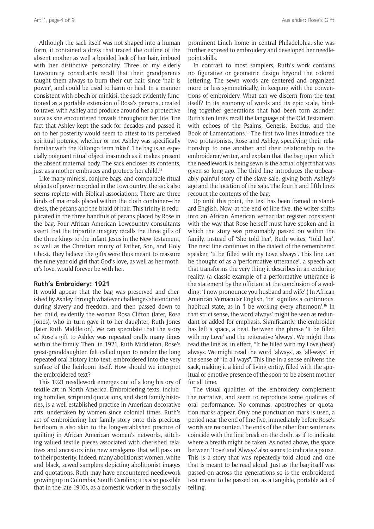Although the sack itself was not shaped into a human form, it contained a dress that traced the outline of the absent mother as well a braided lock of her hair, imbued with her distinctive personality. Three of my elderly Lowcountry consultants recall that their grandparents taught them always to burn their cut hair, since 'hair is power', and could be used to harm or heal. In a manner consistent with obeah or minkisi*,* the sack evidently functioned as a portable extension of Rosa's persona, created to travel with Ashley and produce around her a protective aura as she encountered travails throughout her life. The fact that Ashley kept the sack for decades and passed it on to her posterity would seem to attest to its perceived spiritual potency, whether or not Ashley was specifically familiar with the KiKongo term 'nkisi'. The bag is an especially poignant ritual object inasmuch as it makes present the absent maternal body. The sack encloses its contents, just as a mother embraces and protects her child.<sup>14</sup>

Like many minkisi, conjure bags, and comparable ritual objects of power recorded in the Lowcountry, the sack also seems replete with Biblical associations. There are three kinds of materials placed within the cloth container—the dress, the pecans and the braid of hair. This trinity is reduplicated in the three handfuls of pecans placed by Rose in the bag. Four African American Lowcountry consultants assert that the tripartite imagery recalls the three gifts of the three kings to the infant Jesus in the New Testament, as well as the Christian trinity of Father, Son, and Holy Ghost. They believe the gifts were thus meant to reassure the nine-year-old girl that God's love, as well as her mother's love, would forever be with her.

#### **Ruth's Embroidery: 1921**

It would appear that the bag was preserved and cherished by Ashley through whatever challenges she endured during slavery and freedom, and then passed down to her child, evidently the woman Rosa Clifton (later, Rosa Jones), who in turn gave it to her daughter, Ruth Jones (later Ruth Middleton). We can speculate that the story of Rose's gift to Ashley was repeated orally many times within the family. Then, in 1921, Ruth Middleton, Rose's great-granddaughter, felt called upon to render the long repeated oral history into text, embroidered into the very surface of the heirloom itself. How should we interpret the embroidered text?

This 1921 needlework emerges out of a long history of textile art in North America. Embroidering texts, including homilies, scriptural quotations, and short family histories, is a well-established practice in American decorative arts, undertaken by women since colonial times. Ruth's act of embroidering her family story onto this precious heirloom is also akin to the long-established practice of quilting in African American women's networks, stitching valued textile pieces associated with cherished relatives and ancestors into new amalgams that will pass on to their posterity. Indeed, many abolitionist women, white and black, sewed samplers depicting abolitionist images and quotations. Ruth may have encountered needlework growing up in Columbia, South Carolina; it is also possible that in the late 1910s, as a domestic worker in the socially

prominent Linch home in central Philadelphia, she was further exposed to embroidery and developed her needlepoint skills.

In contrast to most samplers, Ruth's work contains no figurative or geometric design beyond the colored lettering. The sewn words are centered and organized more or less symmetrically, in keeping with the conventions of embroidery. What can we discern from the text itself? In its economy of words and its epic scale, binding together generations that had been torn asunder, Ruth's ten lines recall the language of the Old Testament, with echoes of the Psalms, Genesis, Exodus, and the Book of Lamentations.15 The first two lines introduce the two protagonists, Rose and Ashley, specifying their relationship to one another and their relationship to the embroiderer/writer, and explain that the bag upon which the needlework is being sewn is the actual object that was given so long ago. The third line introduces the unbearably painful story of the slave sale, giving both Ashley's age and the location of the sale. The fourth and fifth lines recount the contents of the bag.

Up until this point, the text has been framed in standard English. Now, at the end of line five, the writer shifts into an African American vernacular register consistent with the way that Rose herself must have spoken and in which the story was presumably passed on within the family. Instead of 'She told her', Ruth writes, 'Told her'. The next line continues in the dialect of the remembered speaker, 'It be filled with my Love always'. This line can be thought of as a 'performative utterance', a speech act that transforms the very thing it describes in an enduring reality. (a classic example of a performative utterance is the statement by the officiant at the conclusion of a wedding: 'I now pronounce you husband and wife'.) In African American Vernacular English, 'be' signifies a continuous, habitual state, as in 'I be working every afternoon'.<sup>16</sup> In that strict sense, the word 'always' might be seen as redundant or added for emphasis. Significantly, the embroider has left a space, a beat, between the phrase 'It be filled with my Love' and the reiterative 'always'. We might thus read the line as, in effect, "It be filled with my Love (beat) always. We might read the word "always", as "all-ways", in the sense of "in all ways". This line in a sense enlivens the sack, making it a kind of living entity, filled with the spiritual or emotive presence of the soon-to-be absent mother for all time.

The visual qualities of the embroidery complement the narrative, and seem to reproduce some qualities of oral performance. No commas, apostrophes or quotation marks appear. Only one punctuation mark is used, a period near the end of line five, immediately before Rose's words are recounted. The ends of the other four sentences coincide with the line break on the cloth, as if to indicate where a breath might be taken. As noted above, the space between 'Love' and 'Always' also seems to indicate a pause. This is a story that was repeatedly told aloud and one that is meant to be read aloud. Just as the bag itself was passed on across the generations so is the embroidered text meant to be passed on, as a tangible, portable act of telling.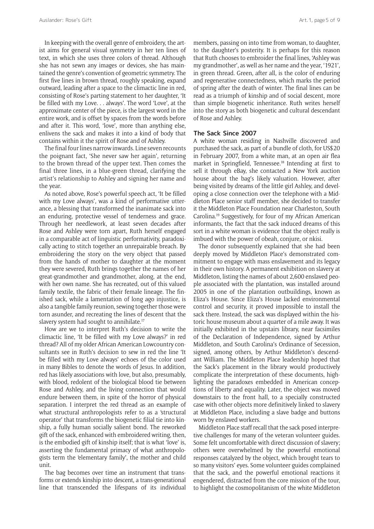In keeping with the overall genre of embroidery, the artist aims for general visual symmetry in her ten lines of text, in which she uses three colors of thread. Although she has not sewn any images or devices, she has maintained the genre's convention of geometric symmetry. The first five lines in brown thread, roughly speaking, expand outward, leading after a space to the climactic line in red, consisting of Rose's parting statement to her daughter, 'It be filled with my Love. . . always'. The word 'Love', at the approximate center of the piece, is the largest word in the entire work, and is offset by spaces from the words before and after it. This word, 'love', more than anything else, enlivens the sack and makes it into a kind of body that contains within it the spirit of Rose and of Ashley.

The final four lines narrow inwards. Line seven recounts the poignant fact, 'She never saw her again', returning to the brown thread of the upper text. Then comes the final three lines, in a blue-green thread, clarifying the artist's relationship to Ashley and signing her name and the year.

As noted above, Rose's powerful speech act, 'It be filled with my Love always', was a kind of performative utterance, a blessing that transformed the inanimate sack into an enduring, protective vessel of tenderness and grace. Through her needlework, at least seven decades after Rose and Ashley were torn apart, Ruth herself engaged in a comparable act of linguistic performativity, paradoxically acting to stitch together an unrepairable breach. By embroidering the story on the very object that passed from the hands of mother to daughter at the moment they were severed, Ruth brings together the names of her great-grandmother and grandmother, along, at the end, with her own name. She has recreated, out of this valued family textile, the fabric of their female lineage. The finished sack, while a lamentation of long ago injustice, is also a tangible family reunion, sewing together those were torn asunder, and recreating the lines of descent that the slavery system had sought to annihilate.17

How are we to interpret Ruth's decision to write the climactic line, 'It be filled with my Love always?' in red thread? All of my older African American Lowcountry consultants see in Ruth's decision to sew in red the line 'It be filled with my Love always' echoes of the color used in many Bibles to denote the words of Jesus. In addition, red has likely associations with love, but also, presumably, with blood, redolent of the biological blood tie between Rose and Ashley, and the living connection that would endure between them, in spite of the horror of physical separation. I interpret the red thread as an example of what structural anthropologists refer to as a 'structural operator' that transforms the biogenetic filial tie into kinship, a fully human socially salient bond. The reworked gift of the sack, enhanced with embroidered writing, then, is the embodied gift of kinship itself; that is what 'love' is, asserting the fundamental primacy of what anthropologists term the 'elementary family', the mother and child unit.

The bag becomes over time an instrument that transforms or extends kinship into descent, a trans-generational line that transcended the lifespans of its individual members, passing on into time from woman, to daughter, to the daughter's posterity. It is perhaps for this reason that Ruth chooses to embroider the final lines, 'Ashley was my grandmother', as well as her name and the year, '1921', in green thread. Green, after all, is the color of enduring and regenerative connectedness, which marks the period of spring after the death of winter. The final lines can be read as a triumph of kinship and of social descent, more than simple biogenetic inheritance. Ruth writes herself into the story as both biogenetic and cultural descendant of Rose and Ashley.

#### **The Sack Since 2007**

A white woman residing in Nashville discovered and purchased the sack, as part of a bundle of cloth, for US\$20 in February 2007, from a white man, at an open air flea market in Springfield, Tennessee.18 Intending at first to sell it through eBay, she contacted a New York auction house about the bag's likely valuation. However, after being visited by dreams of the little girl Ashley, and developing a close connection over the telephone with a Middleton Place senior staff member, she decided to transfer it the Middleton Place Foundation near Charleston, South Carolina.19 Suggestively, for four of my African American informants, the fact that the sack induced dreams of this sort in a white woman is evidence that the object really is imbued with the power of obeah, conjure, or nkisi.

The donor subsequently explained that she had been deeply moved by Middleton Place's demonstrated commitment to engage with mass enslavement and its legacy in their own history. A permanent exhibition on slavery at Middleton, listing the names of about 2,600 enslaved people associated with the plantation, was installed around 2005 in one of the plantation outbuildings, known as Eliza's House. Since Eliza's House lacked environmental control and security, it proved impossible to install the sack there. Instead, the sack was displayed within the historic house museum about a quarter of a mile away. It was initially exhibited in the upstairs library, near facsimiles of the Declaration of Independence, signed by Arthur Middleton, and South Carolina's Ordinance of Secession, signed, among others, by Arthur Middleton's descendant William. The Middleton Place leadership hoped that the Sack's placement in the library would productively complicate the interpretation of these documents, highlighting the paradoxes embedded in American conceptions of liberty and equality. Later, the object was moved downstairs to the front hall, to a specially constructed case with other objects more definitively linked to slavery at Middleton Place, including a slave badge and buttons worn by enslaved workers.

Middleton Place staff recall that the sack posed interpretive challenges for many of the veteran volunteer guides. Some felt uncomfortable with direct discussion of slavery; others were overwhelmed by the powerful emotional responses catalyzed by the object, which brought tears to so many visitors' eyes. Some volunteer guides complained that the sack, and the powerful emotional reactions it engendered, distracted from the core mission of the tour, to highlight the cosmopolitanism of the white Middleton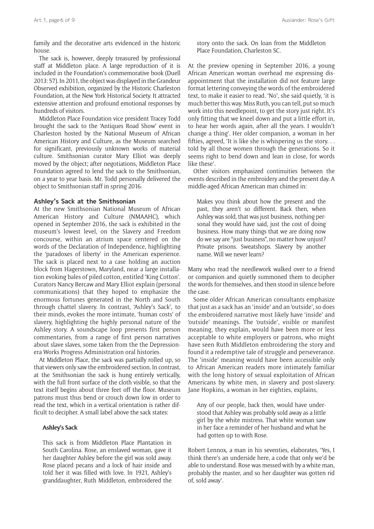family and the decorative arts evidenced in the historic house.

The sack is, however, deeply treasured by professional staff at Middleton place. A large reproduction of it is included in the Foundation's commemorative book (Duell 2013: 57). In 2011, the object was displayed in the Grandeur Observed exhibition, organized by the Historic Charleston Foundation, at the New York Historical Society. It attracted extensive attention and profound emotional responses by hundreds of visitors.

Middleton Place Foundation vice president Tracey Todd brought the sack to the 'Antiques Road Show' event in Charleston hosted by the National Museum of African American History and Culture, as the Museum searched for significant, previously unknown works of material culture. Smithsonian curator Mary Elliot was deeply moved by the object; after negotiations, Middleton Place Foundation agreed to lend the sack to the Smithsonian, on a year to year basis. Mr. Todd personally delivered the object to Smithsonian staff in spring 2016.

#### **Ashley's Sack at the Smithsonian**

At the new Smithsonian National Museum of African American History and Culture (NMAAHC), which opened in September 2016, the sack is exhibited in the museum's lowest level, on the Slavery and Freedom concourse, within an atrium space centered on the words of the Declaration of Independence, highlighting the 'paradoxes of liberty' in the American experience. The sack is placed next to a case holding an auction block from Hagerstown, Maryland, near a large installation evoking bales of piled cotton, entitled 'King Cotton'. Curators Nancy Bercaw and Mary Elliot explain (personal communications) that they hoped to emphasize the enormous fortunes generated in the North and South through chattel slavery. In contrast, 'Ashley's Sack', to their minds, evokes the more intimate, 'human costs' of slavery, highlighting the highly personal nature of the Ashley story. A soundscape loop presents first person commentaries, from a range of first person narratives about slave slaves, some taken from the the Depressionera Works Progress Administration oral histories.

At Middleton Place, the sack was partially rolled up, so that viewers only saw the embroidered section. In contrast, at the Smithsonian the sack is hung entirely vertically, with the full front surface of the cloth visible, so that the text itself begins about three feet off the floor. Museum patrons must thus bend or crouch down low in order to read the text, which in a vertical orientation is rather difficult to decipher. A small label above the sack states:

#### **Ashley's Sack**

This sack is from Middleton Place Plantation in South Carolina. Rose, an enslaved woman, gave it her daughter Ashley before the girl was sold away. Rose placed pecans and a lock of hair inside and told her it was filled with love. In 1921, Ashley's granddaughter, Ruth Middleton, embroidered the

story onto the sack. On loan from the Middleton Place Foundation, Charleston SC.

At the preview opening in September 2016, a young African American woman overhead me expressing disappointment that the installation did not feature large format lettering conveying the words of the embroidered text, to make it easier to read. 'No', she said quietly, 'it is much better this way. Miss Ruth, you can tell, put so much work into this needlepoint, to get the story just right. It's only fitting that we kneel down and put a little effort in, to hear her words again, after all the years. I wouldn't change a thing'. Her older companion, a woman in her fifties, agreed, 'It is like she is whispering us the story. . . told by all those women through the generations. So it seems right to bend down and lean in close, for words like these'.

Other visitors emphasized continuities between the events described in the embroidery and the present day. A middle-aged African American man chimed in:

Makes you think about how the present and the past, they aren't so different. Back then, when Ashley was sold, that was just business, nothing personal they would have said, just the cost of doing business. How many things that we are doing now do we say are "just business", no matter how unjust? Private prisons. Sweatshops. Slavery by another name. Will we never learn?

Many who read the needlework walked over to a friend or companion and quietly summoned them to decipher the words for themselves, and then stood in silence before the case.

Some older African American consultants emphasize that just as a sack has an 'inside' and an 'outside', so does the embroidered narrative most likely have 'inside' and 'outside' meanings. The 'outside', visible or manifest meaning, they explain, would have been more or less acceptable to white employers or patrons, who might have seen Ruth Middleton embroidering the story and found it a redemptive tale of struggle and perseverance. The 'inside' meaning would have been accessible only to African American readers more intimately familiar with the long history of sexual exploitation of African Americans by white men, in slavery and post-slavery. Jane Hopkins, a woman in her eighties, explains,

Any of our people, back then, would have understood that Ashley was probably sold away as a little girl by the white mistress. That white woman saw in her face a reminder of her husband and what he had gotten up to with Rose.

Robert Lennox, a man in his seventies, elaborates, 'Yes, I think there's an underside here, a code that only we'd be able to understand. Rose was messed with by a white man, probably the master, and so her daughter was gotten rid of, sold away'.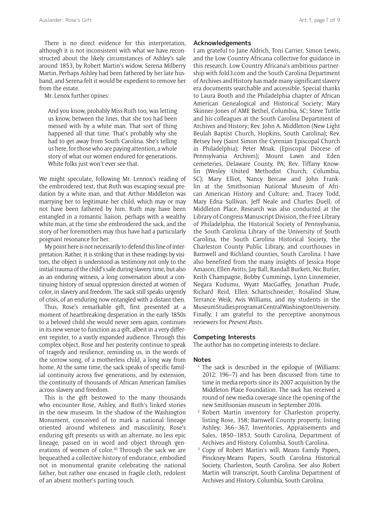Mr. Lenox further opines:

And you know, probably Miss Ruth too, was letting us know, between the lines, that she too had been messed with by a white man. That sort of thing happened all that time. That's probably why she had to get away from South Carolina. She's telling us here, for those who are paying attention, a whole story of what our women endured for generations. White folks just won't ever see that.

We might speculate, following Mr. Lennox's reading of the embroidered text, that Ruth was escaping sexual predation by a white man, and that Arthur Middleton was marrying her to legitimate her child, which may or may not have been fathered by him. Ruth may have been entangled in a romantic liaison, perhaps with a wealthy white man, at the time she embroidered the sack, and the story of her foremothers may thus have had a particularly poignant resonance for her.

My point here is not necessarily to defend this line of interpretation. Rather, it is striking that in these readings by visitors, the object is understood as testimony not only to the initial trauma of the child's sale during slavery time, but also as an enduring witness, a long conversation about a continuing history of sexual oppression directed at women of color, in slavery and freedom. The sack still speaks urgently of crisis, of an enduring now entangled with a distant then.

Thus, Rose's remarkable gift, first presented at a moment of heartbreaking desperation in the early 1850s to a beloved child she would never seen again, continues in its new venue to function as a gift, albeit in a very different register, to a vastly expanded audience. Through this complex object, Rose and her posterity continue to speak of tragedy and resilience, reminding us, in the words of the sorrow song, of a motherless child, a long way from home. At the same time, the sack speaks of specific familial continuity across five generations, and by extension, the continuity of thousands of African American families across slavery and freedom.

This is the gift bestowed to the many thousands who encounter Rose, Ashley, and Ruth's linked stories in the new museum. In the shadow of the Washington Monument, conceived of to mark a national lineage oriented around whiteness and masculinity, Rose's enduring gift presents us with an alternate, no less epic lineage, passed on in word and object through generations of women of color.20 Through the sack we are bequeathed a collective history of endurance, embodied not in monumental granite celebrating the national father, but rather one encased in fragile cloth, redolent of an absent mother's parting touch.

#### **Acknowledgements**

I am grateful to Jane Aldrich, Toni Carrier, Simon Lewis, and the Low Country Africana collective for guidance in this research. Low Country Africana's ambitious partnership with [fold3.com](http://fold3.com) and the South Carolina Department of Archives and History has made many significant slavery era documents searchable and accessible. Special thanks to Laura Booth and the Philadelphia chapter of African American Genealogical and Historical Society; Mary Skinner-Jones of AME Bethel, Columbia, SC; Steve Tuttle and his colleagues at the South Carolina Department of Archives and History; Rev. John A. Middleton (New Light Beulah Baptist Church, Hopkins, South Carolina); Rev. Betsey Ivey (Saint Simon the Cyrenian Episcopal Church in Philadelphia); Peter Moak. (Episcopal Diocese of Pennsylvania Archives); Mount Lawn and Eden cemeteries, Delaware County, PA; Rev. Tiffany Knowlin (Wesley United Methodist Church, Columbia, SC); Mary Elliot, Nancy Bercaw and John Franklin at the Smithsonian National Museum of African American History and Culture; and, Tracey Todd, Mary Edna Sullivan, Jeff Neale and Charles Duell, of Middleton Place. Research was also conducted at the Library of Congress Manuscript Division, the Free Library of Philadelphia, the Historical Society of Pennsylvania, the South Carolinia Library of the University of South Carolina, the South Carolina Historical Society, the Charleston County Public Library, and courthouses in Barnwell and Richland counties, South Carolina. I have also benefited from the many insights of Jessica Hope Amason, Ellen Avitts, Jay Ball, Randall Burkett, Nic Butler, Keith Champagne, Bobby Cummings, Lynn Linnemeier, Negara Kudumu, Wyatt MacGaffey, Jonathan Prude, Richard Reid, Ellen Schattschneider, Rosalind Shaw, Terrance Weik, Avis Williams, and my students in the Museum Studies program at Central Washington University. Finally, I am grateful to the perceptive anonymous reviewers for *Present Pasts*.

#### **Competing Interests**

The author has no competing interests to declare.

#### **Notes**

- <sup>1</sup> The sack is described in the epilogue of (Williams: 2012: 196–7) and has been discussed from time to time in media reports since its 2007 acquisition by the Middleton Place Foundation. The sack has received a round of new media coverage since the opening of the new Smithsonian museum in September 2016.
- <sup>2</sup> Robert Martin inventory for Charleston property, listing Rose, 358; Barnwell County property, listing Ashley, 366–367, Inventories, Appraisements and Sales, 1850–1853, South Carolina, Department of Archives and History. Columbia, South Carolina.
- <sup>3</sup> Copy of Robert Martin's will, Means Family Papers, Pinckney-Means Papers, South Carolina Historical Society, Charleston, South Carolina. See also Robert Martin will transcript, South Carolina Department of Archives and History. Columbia, South Carolina.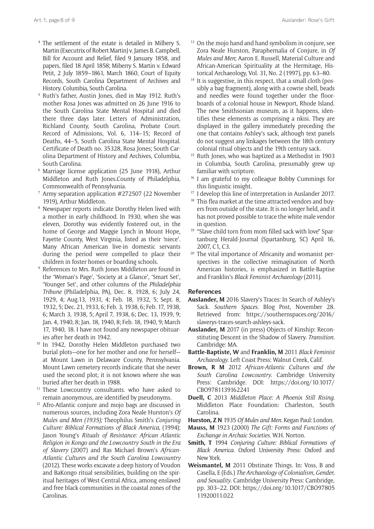- <sup>4</sup> The settlement of the estate is detailed in Milbery S. Martin (Executrix of Robert Martin) v. James B. Campbell, Bill for Account and Relief, filed 9 January 1858, and papers, filed 18 April 1858; Miberry S. Martin v. Edward Petit, 2 July 1859–1861, March 1860, Court of Equity Records, South Carolina Department of Archives and History. Columbia, South Carolina.
- <sup>5</sup> Ruth's father, Austin Jones, died in May 1912. Ruth's mother Rosa Jones was admitted on 26 June 1916 to the South Carolina State Mental Hospital and died there three days later. Letters of Administration, Richland County, South Carolina, Probate Court. Record of Admissions, Vol. 6, 114–15; Record of Deaths, 44–5, South Carolina State Mental Hospital. Certificate of Death no. 35328, Rosa Jones; South Carolina Department of History and Archives, Columbia, South Carolina.
- <sup>6</sup> Marriage license application (25 June 1918), Arthur Middleton and Ruth Jones.County of Philadelphia, Commonwealth of Pennsylvania.
- <sup>7</sup> Army separation application #272507 (22 November 1919), Arthur Middleton.
- <sup>8</sup> Newspaper reports indicate Dorothy Helen lived with a mother in early childhood. In 1930, when she was eleven, Dorothy was evidently fostered out, in the home of George and Maggie Lynch in Mount Hope, Fayette County, West Virginia, listed as their 'niece'. Many African American live-in domestic servants during the period were compelled to place their children in foster homes or boarding schools.
- <sup>9</sup> References to Mrs. Ruth Jones Middleton are found in the 'Woman's Page', 'Society at a Glance', 'Smart Set', 'Younger Set', and other columns of the *Philadelphia Tribune* (Philadelphia, PA), Dec. 8, 1928, 6; July 24, 1929, 4; Aug.13, 1931, 4; Feb. 18, 1932, 5; Sept. 8, 1932, 5; Dec. 21, 1933, 6; Feb. 3, 1938, 6; Feb. 17, 1938, 6; March 3, 1938, 5; April 7, 1938, 6; Dec. 13, 1939, 9; Jan. 4, 1940, 8; Jan. 18, 1940, 8; Feb. 18, 1940, 9; March 17, 1940, 18. I have not found any newspaper obituaries after her death in 1942.
- <sup>10</sup> In 1942, Dorothy Helen Middleton purchased two burial plots—one for her mother and one for herself at Mount Lawn in Delaware County, Pennsylvania. Mount Lawn cemetery records indicate that she never used the second plot; it is not known where she was buried after her death in 1988.
- <sup>11</sup> These Lowcountry consultants, who have asked to remain anonymous, are identified by pseudonyms.
- <sup>12</sup> Afro-Atlantic conjure and mojo bags are discussed in numerous sources, including Zora Neale Hurston's *Of Mules and Men (1935);* Theophilus Smith's *Conjuring Culture: Biblical Formations of Black America*, (1994); Jason Young's *Rituals of Resistance: African Atlantic Religion in Kongo and the Lowcountry South in the Era of Slavery* (2007) and Ras Michael Brown's *African-Atlantic Cultures and the South Carolina Lowcountry*  (2012). These works excavate a deep history of Voudon and BaKongo ritual sensibilities, building on the spiritual heritages of West-Central Africa, among enslaved and free black communities in the coastal zones of the Carolinas.
- <sup>13</sup> On the mojo hand and hand symbolism in conjure, see Zora Neale Hurston, Paraphernalia of Conjure, in *Of Mules and Men*; Aaron E. Russell, Material Culture and African-American Spirituality at the Hermitage, Historical Archaeology, Vol. 31, No. 2 (1997), pp. 63–80.
- $14$  It is suggestive, in this respect, that a small cloth (possibly a bag fragment), along with a cowrie shell, beads and needles were found together under the floorboards of a colonial house in Newport, Rhode Island. The new Smithsonian museum, as it happens, identifies these elements as comprising a nkisi. They are displayed in the gallery immediately preceding the one that contains Ashley's sack, although text panels do not suggest any linkages between the 18th century colonial ritual objects and the 19th century sack.
- <sup>15</sup> Ruth Jones, who was baptized as a Methodist in 1903 in Columbia, South Carolina, presumably grew up familiar with scripture.<br><sup>16</sup> I am grateful to my colleague Bobby Cummings for
- this linguistic insight. 17 I develop this line of interpretation in Auslander 2017.
- 
- <sup>18</sup> This flea market at the time attracted vendors and buyers from outside of the state. It is no longer held, and it has not proved possible to trace the white male vendor
- in question.<br><sup>19</sup> "Slave child torn from mom filled sack with love" Spartanburg Herald-Journal (Spartanburg, SC) April 16, 2007, C1, C3.
- <sup>20</sup> The vital importance of Africanity and womanist perspectives in the collective reimagination of North American histories, is emphasized in Battle-Baptise and Franklin's *Black Feminist Archaeology* (2011).

#### **References**

- **Auslander, M** 2016 Slavery's Traces: In Search of Ashley's Sack. *Southern Spaces*. Blog Post, November 28. Retrieved from: [https://southernspaces.org/2016/](https://southernspaces.org/2016/slaverys-traces-search-ashleys-sack) [slaverys-traces-search-ashleys-sack](https://southernspaces.org/2016/slaverys-traces-search-ashleys-sack).
- **Auslander, M** 2017 (in press) Objects of Kinship: Reconstituting Descent in the Shadow of Slavery. *Transition.*  Cambridge: MA.
- **Battle-Baptiste, W** and **Franklin, M** 2011 *Black Feminist Archaeology*. Left Coast Press: Walnut Creek, Calif.
- **Brown, R M** 2012 *African-Atlantic Cultures and the South Carolina Lowcountry*. Cambridge University Press: Cambridge. DOI: [https://doi.org/10.1017/](https://doi.org/10.1017/CBO9781139162241) [CBO9781139162241](https://doi.org/10.1017/CBO9781139162241)
- **Duell, C** 2013 *Middleton Place: A Phoenix Still Rising*. Middleton Place Foundation: Charleston, South Carolina.
- **Hurston, Z N** 1935 *Of Mules and Men.* Kegan Paul: London.
- **Mauss, M** 1923 (2000) *The Gift: Forms and Functions of Exchange in Archaic Societies*. W.H. Norton.
- **Smith, T** 1994 *Conjuring Culture: Biblical Formations of Black America*. Oxford University Press: Oxford and New York.
- **Weismantel, M** 2011 Obstinate Things. In: Voss, B and Casella, E (Eds.) *The Archaeology of Colonialism, Gender, and Sexuality*. Cambridge University Press: Cambridge, pp. 303–22. DOI: [https://doi.org/10.1017/CBO97805](https://doi.org/10.1017/CBO9780511920011.022)  [11920011.022](https://doi.org/10.1017/CBO9780511920011.022)